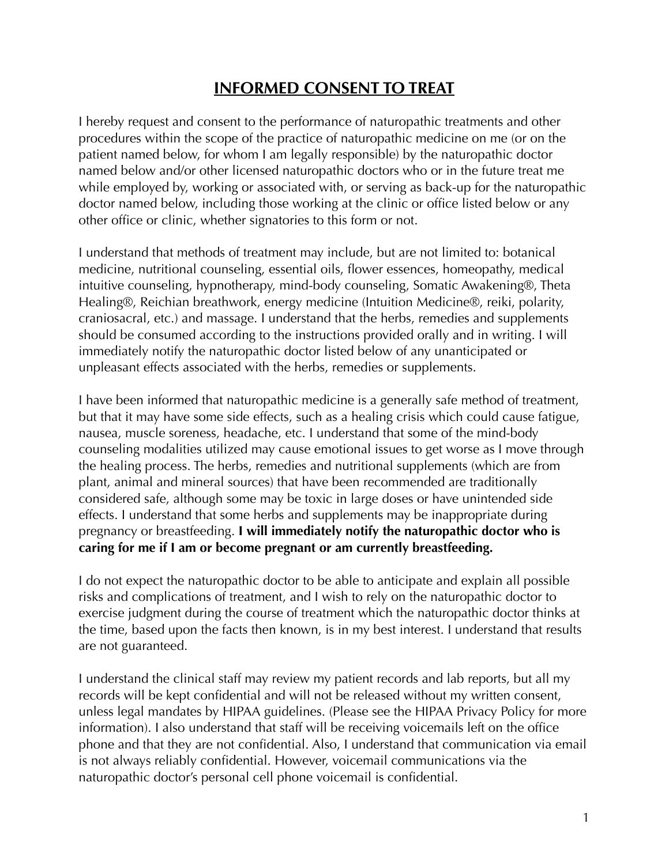## **INFORMED CONSENT TO TREAT**

I hereby request and consent to the performance of naturopathic treatments and other procedures within the scope of the practice of naturopathic medicine on me (or on the patient named below, for whom I am legally responsible) by the naturopathic doctor named below and/or other licensed naturopathic doctors who or in the future treat me while employed by, working or associated with, or serving as back-up for the naturopathic doctor named below, including those working at the clinic or office listed below or any other office or clinic, whether signatories to this form or not.

I understand that methods of treatment may include, but are not limited to: botanical medicine, nutritional counseling, essential oils, flower essences, homeopathy, medical intuitive counseling, hypnotherapy, mind-body counseling, Somatic Awakening®, Theta Healing®, Reichian breathwork, energy medicine (Intuition Medicine®, reiki, polarity, craniosacral, etc.) and massage. I understand that the herbs, remedies and supplements should be consumed according to the instructions provided orally and in writing. I will immediately notify the naturopathic doctor listed below of any unanticipated or unpleasant effects associated with the herbs, remedies or supplements.

I have been informed that naturopathic medicine is a generally safe method of treatment, but that it may have some side effects, such as a healing crisis which could cause fatigue, nausea, muscle soreness, headache, etc. I understand that some of the mind-body counseling modalities utilized may cause emotional issues to get worse as I move through the healing process. The herbs, remedies and nutritional supplements (which are from plant, animal and mineral sources) that have been recommended are traditionally considered safe, although some may be toxic in large doses or have unintended side effects. I understand that some herbs and supplements may be inappropriate during pregnancy or breastfeeding. **I will immediately notify the naturopathic doctor who is caring for me if I am or become pregnant or am currently breastfeeding.**

I do not expect the naturopathic doctor to be able to anticipate and explain all possible risks and complications of treatment, and I wish to rely on the naturopathic doctor to exercise judgment during the course of treatment which the naturopathic doctor thinks at the time, based upon the facts then known, is in my best interest. I understand that results are not guaranteed.

I understand the clinical staff may review my patient records and lab reports, but all my records will be kept confidential and will not be released without my written consent, unless legal mandates by HIPAA guidelines. (Please see the HIPAA Privacy Policy for more information). I also understand that staff will be receiving voicemails left on the office phone and that they are not confidential. Also, I understand that communication via email is not always reliably confidential. However, voicemail communications via the naturopathic doctor's personal cell phone voicemail is confidential.